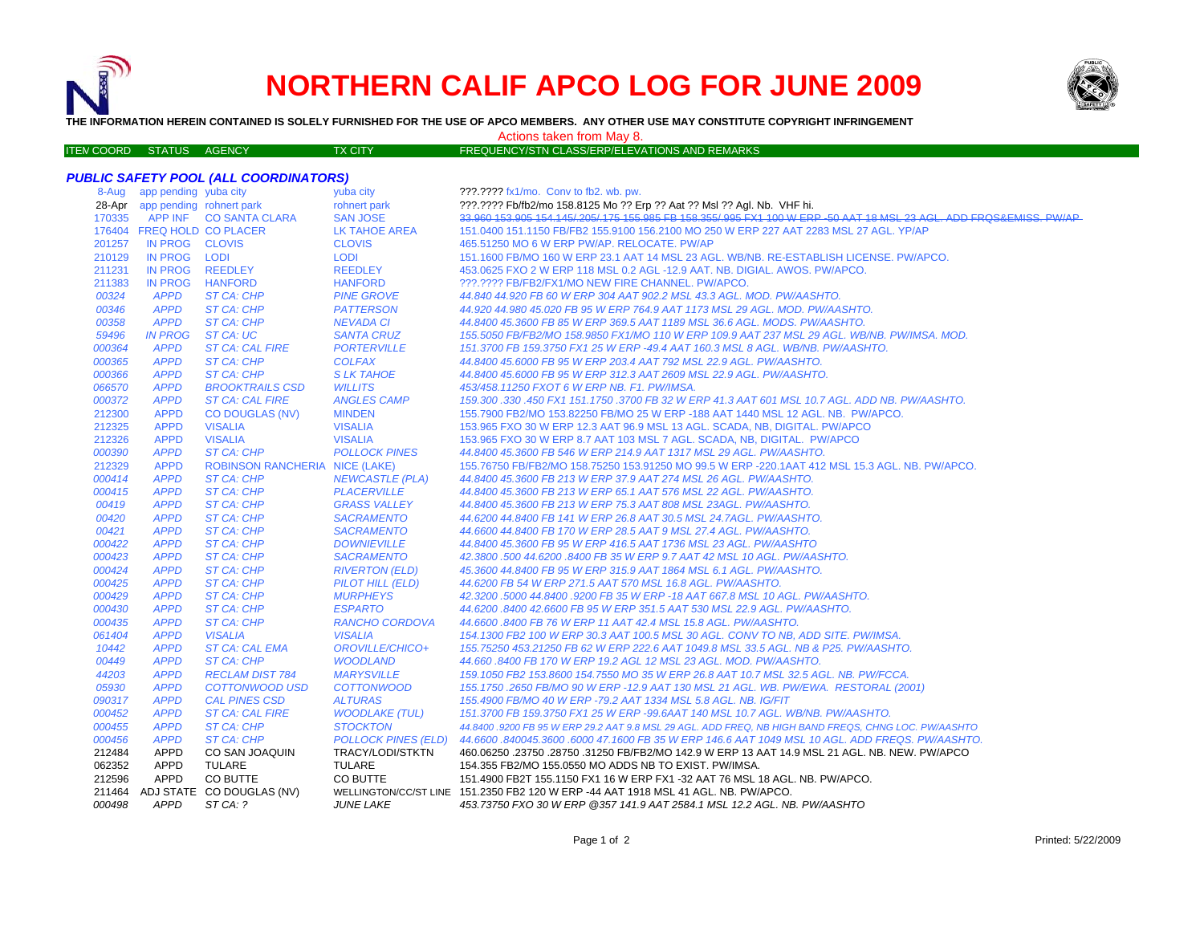

## **NORTHERN CALIF APCO LOG FOR JUNE 2009**



**THE INFORMATION HEREIN CONTAINED IS SOLELY FURNISHED FOR THE USE OF APCO MEMBERS. ANY OTHER USE MAY CONSTITUTE COPYRIGHT INFRINGEMENT**

## Actions taken from May 8.

| <b>ITEN COORD STATUS AGENCY</b> |  | <b>TX CITY</b> | FREQUENCY/STN CLASS/ERP/ELEVATIONS AND REMARKS |  |
|---------------------------------|--|----------------|------------------------------------------------|--|

## *PUBLIC SAFETY POOL (ALL COORDINATORS)*

| 8-Aug  | app pending yuba city           |                                       | yuba city                  | ???.???? fx1/mo. Conv to fb2. wb. pw.                                                                               |
|--------|---------------------------------|---------------------------------------|----------------------------|---------------------------------------------------------------------------------------------------------------------|
|        | 28-Apr app pending rohnert park |                                       | rohnert park               | ???.???? Fb/fb2/mo 158.8125 Mo ?? Erp ?? Aat ?? Msl ?? Agl. Nb. VHF hi.                                             |
| 170335 |                                 | APP INF CO SANTA CLARA                | <b>SAN JOSE</b>            | 33.960 153.905 154.145/.205/.175 155.985 FB 158.355/.995 FX1 100 W ERP -50 AAT 18 MSL 23 AGL. ADD FRQS&EMISS, PW/AP |
|        | 176404 FREQ HOLD CO PLACER      |                                       | <b>LK TAHOE AREA</b>       | 151.0400 151.1150 FB/FB2 155.9100 156.2100 MO 250 W ERP 227 AAT 2283 MSL 27 AGL. YP/AP                              |
| 201257 | IN PROG CLOVIS                  |                                       | <b>CLOVIS</b>              | 465.51250 MO 6 W ERP PW/AP. RELOCATE. PW/AP                                                                         |
| 210129 | IN PROG LODI                    |                                       | <b>LODI</b>                | 151.1600 FB/MO 160 W ERP 23.1 AAT 14 MSL 23 AGL. WB/NB. RE-ESTABLISH LICENSE. PW/APCO.                              |
| 211231 | <b>IN PROG</b>                  | <b>REEDLEY</b>                        | <b>REEDLEY</b>             | 453.0625 FXO 2 W ERP 118 MSL 0.2 AGL -12.9 AAT. NB. DIGIAL. AWOS. PW/APCO.                                          |
| 211383 | IN PROG                         | <b>HANFORD</b>                        | <b>HANFORD</b>             | ???.???? FB/FB2/FX1/MO NEW FIRE CHANNEL. PW/APCO.                                                                   |
| 00324  | <b>APPD</b>                     | ST CA: CHP                            | <b>PINE GROVE</b>          | 44.840 44.920 FB 60 W ERP 304 AAT 902.2 MSL 43.3 AGL. MOD. PW/AASHTO.                                               |
| 00346  | <b>APPD</b>                     | ST CA: CHP                            | <b>PATTERSON</b>           | 44.920 44.980 45.020 FB 95 W ERP 764.9 AAT 1173 MSL 29 AGL. MOD. PW/AASHTO.                                         |
| 00358  | <b>APPD</b>                     | ST CA: CHP                            | <b>NEVADA CI</b>           | 44.8400 45.3600 FB 85 W ERP 369.5 AAT 1189 MSL 36.6 AGL. MODS. PW/AASHTO.                                           |
| 59496  | <b>IN PROG</b>                  | ST CA: UC                             | <b>SANTA CRUZ</b>          | 155.5050 FB/FB2/MO 158.9850 FX1/MO 110 W ERP 109.9 AAT 237 MSL 29 AGL. WB/NB. PW/IMSA. MOD.                         |
| 000364 | <b>APPD</b>                     | <b>ST CA: CAL FIRE</b>                | <b>PORTERVILLE</b>         | 151.3700 FB 159.3750 FX1 25 W ERP -49.4 AAT 160.3 MSL 8 AGL. WB/NB. PW/AASHTO.                                      |
| 000365 | <b>APPD</b>                     | <b>ST CA: CHP</b>                     | <b>COLFAX</b>              | 44.8400 45.6000 FB 95 W ERP 203.4 AAT 792 MSL 22.9 AGL. PW/AASHTO.                                                  |
| 000366 | <b>APPD</b>                     | ST CA: CHP                            | <b>SLK TAHOE</b>           | 44.8400 45.6000 FB 95 W ERP 312.3 AAT 2609 MSL 22.9 AGL. PW/AASHTO.                                                 |
| 066570 | <b>APPD</b>                     | <b>BROOKTRAILS CSD</b>                | <b>WILLITS</b>             | 453/458.11250 FXOT 6 W ERP NB. F1. PW/IMSA.                                                                         |
| 000372 | <b>APPD</b>                     | <b>ST CA: CAL FIRE</b>                | <b>ANGLES CAMP</b>         | 159.300 .330 .450 FX1 151.1750 .3700 FB 32 W ERP 41.3 AAT 601 MSL 10.7 AGL. ADD NB. PW/AASHTO.                      |
| 212300 | <b>APPD</b>                     | <b>CO DOUGLAS (NV)</b>                | <b>MINDEN</b>              | 155.7900 FB2/MO 153.82250 FB/MO 25 W ERP -188 AAT 1440 MSL 12 AGL. NB. PW/APCO.                                     |
| 212325 | <b>APPD</b>                     | <b>VISALIA</b>                        | <b>VISALIA</b>             | 153.965 FXO 30 W ERP 12.3 AAT 96.9 MSL 13 AGL. SCADA, NB, DIGITAL. PW/APCO                                          |
| 212326 | <b>APPD</b>                     | <b>VISALIA</b>                        | <b>VISALIA</b>             | 153.965 FXO 30 W ERP 8.7 AAT 103 MSL 7 AGL. SCADA, NB, DIGITAL. PW/APCO                                             |
| 000390 | <b>APPD</b>                     | ST CA: CHP                            | <b>POLLOCK PINES</b>       | 44.8400 45.3600 FB 546 W ERP 214.9 AAT 1317 MSL 29 AGL. PW/AASHTO.                                                  |
| 212329 | <b>APPD</b>                     | <b>ROBINSON RANCHERIA NICE (LAKE)</b> |                            | 155.76750 FB/FB2/MO 158.75250 153.91250 MO 99.5 W ERP -220.1AAT 412 MSL 15.3 AGL. NB. PW/APCO.                      |
| 000414 | <b>APPD</b>                     | <b>ST CA: CHP</b>                     | <b>NEWCASTLE (PLA)</b>     | 44.8400 45.3600 FB 213 W ERP 37.9 AAT 274 MSL 26 AGL. PW/AASHTO.                                                    |
| 000415 | <b>APPD</b>                     | ST CA: CHP                            | <b>PLACERVILLE</b>         | 44.8400 45.3600 FB 213 W ERP 65.1 AAT 576 MSL 22 AGL. PW/AASHTO.                                                    |
| 00419  | <b>APPD</b>                     | ST CA: CHP                            | <b>GRASS VALLEY</b>        | 44.8400 45.3600 FB 213 W ERP 75.3 AAT 808 MSL 23AGL. PW/AASHTO.                                                     |
| 00420  | <b>APPD</b>                     | ST CA: CHP                            | <b>SACRAMENTO</b>          | 44.6200 44.8400 FB 141 W ERP 26.8 AAT 30.5 MSL 24.7AGL. PW/AASHTO.                                                  |
| 00421  | <b>APPD</b>                     | ST CA: CHP                            | <b>SACRAMENTO</b>          | 44.6600 44.8400 FB 170 W ERP 28.5 AAT 9 MSL 27.4 AGL, PW/AASHTO.                                                    |
| 000422 | <b>APPD</b>                     | ST CA: CHP                            | <b>DOWNIEVILLE</b>         | 44.8400 45.3600 FB 95 W ERP 416.5 AAT 1736 MSL 23 AGL. PW/AASHTO                                                    |
| 000423 | <b>APPD</b>                     | ST CA: CHP                            | <b>SACRAMENTO</b>          | 42.3800 .500 44.6200 .8400 FB 35 W ERP 9.7 AAT 42 MSL 10 AGL. PW/AASHTO.                                            |
| 000424 | <b>APPD</b>                     | ST CA: CHP                            | <b>RIVERTON (ELD)</b>      | 45.3600 44.8400 FB 95 W ERP 315.9 AAT 1864 MSL 6.1 AGL. PW/AASHTO.                                                  |
| 000425 | <b>APPD</b>                     | ST CA: CHP                            | PILOT HILL (ELD)           | 44.6200 FB 54 W ERP 271.5 AAT 570 MSL 16.8 AGL. PW/AASHTO.                                                          |
| 000429 | <b>APPD</b>                     | ST CA: CHP                            | <b>MURPHEYS</b>            | 42.3200 .5000 44.8400 .9200 FB 35 W ERP -18 AAT 667.8 MSL 10 AGL. PW/AASHTO.                                        |
| 000430 | <b>APPD</b>                     | ST CA: CHP                            | <b>ESPARTO</b>             | 44.6200 .8400 42.6600 FB 95 W ERP 351.5 AAT 530 MSL 22.9 AGL, PW/AASHTO,                                            |
| 000435 | <b>APPD</b>                     | ST CA: CHP                            | <b>RANCHO CORDOVA</b>      | 44.6600.8400 FB 76 W ERP 11 AAT 42.4 MSL 15.8 AGL. PW/AASHTO.                                                       |
| 061404 | <b>APPD</b>                     | <b>VISALIA</b>                        | <b>VISALIA</b>             | 154.1300 FB2 100 W ERP 30.3 AAT 100.5 MSL 30 AGL. CONV TO NB, ADD SITE. PW/IMSA.                                    |
| 10442  | <b>APPD</b>                     | <b>ST CA: CAL EMA</b>                 | OROVILLE/CHICO+            | 155.75250 453.21250 FB 62 W ERP 222.6 AAT 1049.8 MSL 33.5 AGL. NB & P25. PW/AASHTO.                                 |
| 00449  | <b>APPD</b>                     | ST CA: CHP                            | <b>WOODLAND</b>            | 44.660 .8400 FB 170 W ERP 19.2 AGL 12 MSL 23 AGL. MOD. PW/AASHTO.                                                   |
| 44203  | <b>APPD</b>                     | <b>RECLAM DIST 784</b>                | <b>MARYSVILLE</b>          | 159.1050 FB2 153.8600 154.7550 MO 35 W ERP 26.8 AAT 10.7 MSL 32.5 AGL. NB. PW/FCCA.                                 |
| 05930  | <b>APPD</b>                     | COTTONWOOD USD                        | <b>COTTONWOOD</b>          | 155.1750.2650 FB/MO 90 W ERP -12.9 AAT 130 MSL 21 AGL. WB. PW/EWA. RESTORAL (2001)                                  |
| 090317 | <b>APPD</b>                     | <b>CAL PINES CSD</b>                  | <b>ALTURAS</b>             | 155.4900 FB/MO 40 W ERP -79.2 AAT 1334 MSL 5.8 AGL. NB. IG/FIT                                                      |
| 000452 | <b>APPD</b>                     | <b>ST CA: CAL FIRE</b>                | <b>WOODLAKE (TUL)</b>      | 151.3700 FB 159.3750 FX1 25 W ERP -99.6AAT 140 MSL 10.7 AGL. WB/NB. PW/AASHTO.                                      |
| 000455 | <b>APPD</b>                     | ST CA: CHP                            | <b>STOCKTON</b>            | 44.8400 .9200 FB 95 W ERP 29.2 AAT 9.8 MSL 29 AGL. ADD FREQ, NB HIGH BAND FREQS, CHNG LOC. PW/AASHTO                |
| 000456 | <b>APPD</b>                     | ST CA: CHP                            | <b>POLLOCK PINES (ELD)</b> | .44.6600 .840045.3600 .6000 47.1600 FB 35 W ERP 146.6 AAT 1049 MSL 10 AGL. ADD FREQS. PW/AASHTO                     |
| 212484 | <b>APPD</b>                     | CO SAN JOAQUIN                        | TRACY/LODI/STKTN           | 460.06250 .23750 .28750 .31250 FB/FB2/MO 142.9 W ERP 13 AAT 14.9 MSL 21 AGL. NB. NEW. PW/APCO                       |
| 062352 | APPD                            | TULARE                                | <b>TULARE</b>              | 154.355 FB2/MO 155.0550 MO ADDS NB TO EXIST. PW/IMSA.                                                               |
| 212596 | <b>APPD</b>                     | CO BUTTE                              | CO BUTTE                   | 151.4900 FB2T 155.1150 FX1 16 W ERP FX1 -32 AAT 76 MSL 18 AGL, NB, PW/APCO,                                         |
| 211464 |                                 | ADJ STATE CO DOUGLAS (NV)             |                            | WELLINGTON/CC/ST LINE 151.2350 FB2 120 W ERP -44 AAT 1918 MSL 41 AGL. NB. PW/APCO.                                  |
| 000498 | <b>APPD</b>                     | ST CA: ?                              | <b>JUNE LAKE</b>           | 453.73750 FXO 30 W ERP @357 141.9 AAT 2584.1 MSL 12.2 AGL. NB. PW/AASHTO                                            |